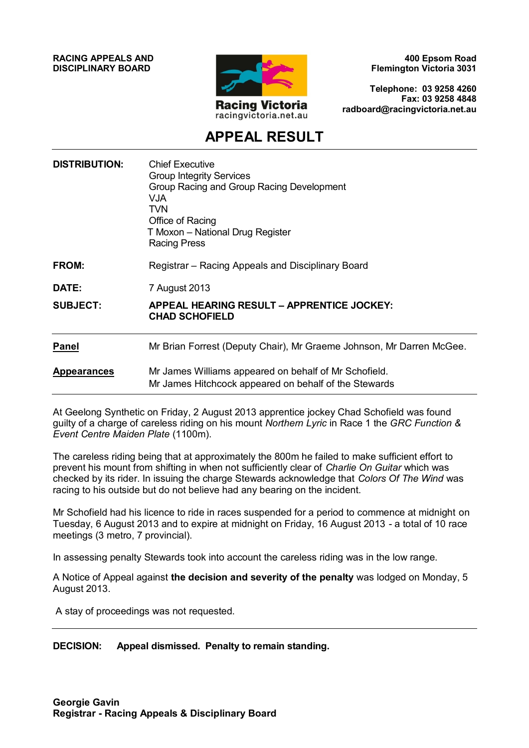**RACING APPEALS AND DISCIPLINARY BOARD**



**400 Epsom Road Flemington Victoria 3031**

**Telephone: 03 9258 4260 Fax: 03 9258 4848 radboard@racingvictoria.net.au**

## **APPEAL RESULT**

| <b>DISTRIBUTION:</b> | <b>Chief Executive</b><br><b>Group Integrity Services</b><br>Group Racing and Group Racing Development<br><b>VJA</b><br>TVN<br>Office of Racing<br>T Moxon – National Drug Register<br><b>Racing Press</b> |
|----------------------|------------------------------------------------------------------------------------------------------------------------------------------------------------------------------------------------------------|
| FROM:                | Registrar – Racing Appeals and Disciplinary Board                                                                                                                                                          |
| DATE:                | 7 August 2013                                                                                                                                                                                              |
| <b>SUBJECT:</b>      | APPEAL HEARING RESULT – APPRENTICE JOCKEY:<br><b>CHAD SCHOFIELD</b>                                                                                                                                        |
| <b>Panel</b>         | Mr Brian Forrest (Deputy Chair), Mr Graeme Johnson, Mr Darren McGee.                                                                                                                                       |
| <b>Appearances</b>   | Mr James Williams appeared on behalf of Mr Schofield.<br>Mr James Hitchcock appeared on behalf of the Stewards                                                                                             |

At Geelong Synthetic on Friday, 2 August 2013 apprentice jockey Chad Schofield was found guilty of a charge of careless riding on his mount *Northern Lyric* in Race 1 the *GRC Function & Event Centre Maiden Plate* (1100m).

The careless riding being that at approximately the 800m he failed to make sufficient effort to prevent his mount from shifting in when not sufficiently clear of *Charlie On Guitar* which was checked by its rider. In issuing the charge Stewards acknowledge that *Colors Of The Wind* was racing to his outside but do not believe had any bearing on the incident.

Mr Schofield had his licence to ride in races suspended for a period to commence at midnight on Tuesday, 6 August 2013 and to expire at midnight on Friday, 16 August 2013 - a total of 10 race meetings (3 metro, 7 provincial).

In assessing penalty Stewards took into account the careless riding was in the low range.

A Notice of Appeal against **the decision and severity of the penalty** was lodged on Monday, 5 August 2013.

A stay of proceedings was not requested.

#### **DECISION: Appeal dismissed. Penalty to remain standing.**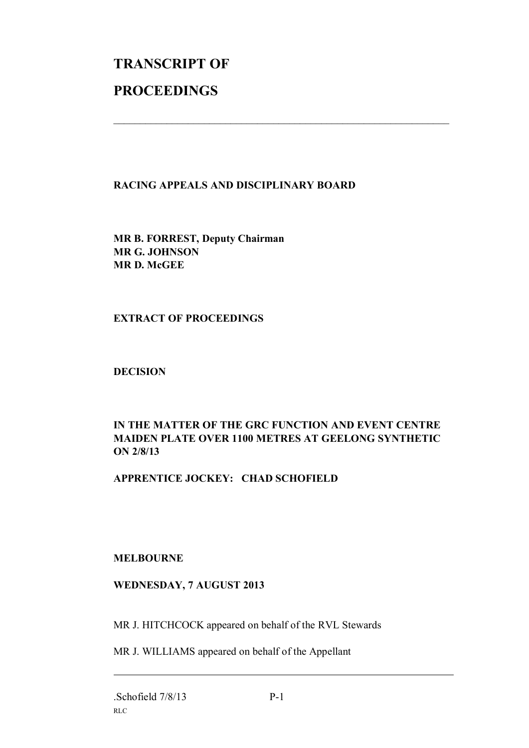# **TRANSCRIPT OF PROCEEDINGS**

#### **RACING APPEALS AND DISCIPLINARY BOARD**

 $\mathcal{L}_\text{max}$  , and the contribution of the contribution of the contribution of the contribution of the contribution of the contribution of the contribution of the contribution of the contribution of the contribution of t

**MR B. FORREST, Deputy Chairman MR G. JOHNSON MR D. McGEE**

#### **EXTRACT OF PROCEEDINGS**

#### **DECISION**

#### **IN THE MATTER OF THE GRC FUNCTION AND EVENT CENTRE MAIDEN PLATE OVER 1100 METRES AT GEELONG SYNTHETIC ON 2/8/13**

### **APPRENTICE JOCKEY: CHAD SCHOFIELD**

#### **MELBOURNE**

#### **WEDNESDAY, 7 AUGUST 2013**

MR J. HITCHCOCK appeared on behalf of the RVL Stewards

MR J. WILLIAMS appeared on behalf of the Appellant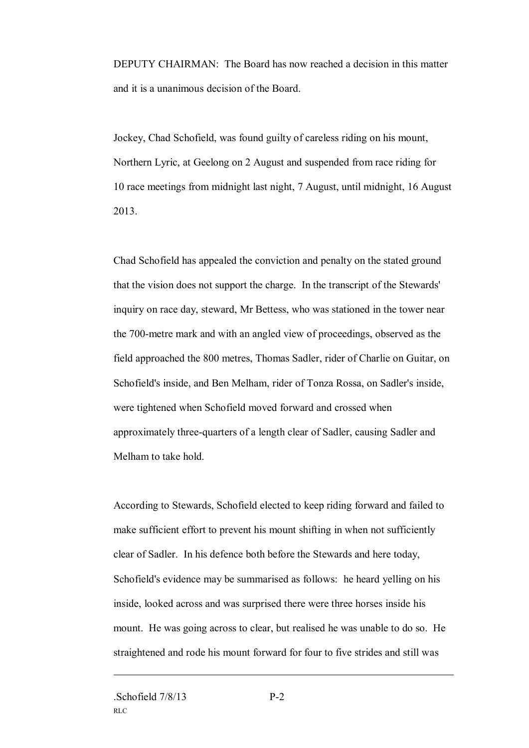DEPUTY CHAIRMAN: The Board has now reached a decision in this matter and it is a unanimous decision of the Board.

Jockey, Chad Schofield, was found guilty of careless riding on his mount, Northern Lyric, at Geelong on 2 August and suspended from race riding for 10 race meetings from midnight last night, 7 August, until midnight, 16 August 2013.

Chad Schofield has appealed the conviction and penalty on the stated ground that the vision does not support the charge. In the transcript of the Stewards' inquiry on race day, steward, Mr Bettess, who was stationed in the tower near the 700-metre mark and with an angled view of proceedings, observed as the field approached the 800 metres, Thomas Sadler, rider of Charlie on Guitar, on Schofield's inside, and Ben Melham, rider of Tonza Rossa, on Sadler's inside, were tightened when Schofield moved forward and crossed when approximately three-quarters of a length clear of Sadler, causing Sadler and Melham to take hold.

According to Stewards, Schofield elected to keep riding forward and failed to make sufficient effort to prevent his mount shifting in when not sufficiently clear of Sadler. In his defence both before the Stewards and here today, Schofield's evidence may be summarised as follows: he heard yelling on his inside, looked across and was surprised there were three horses inside his mount. He was going across to clear, but realised he was unable to do so. He straightened and rode his mount forward for four to five strides and still was